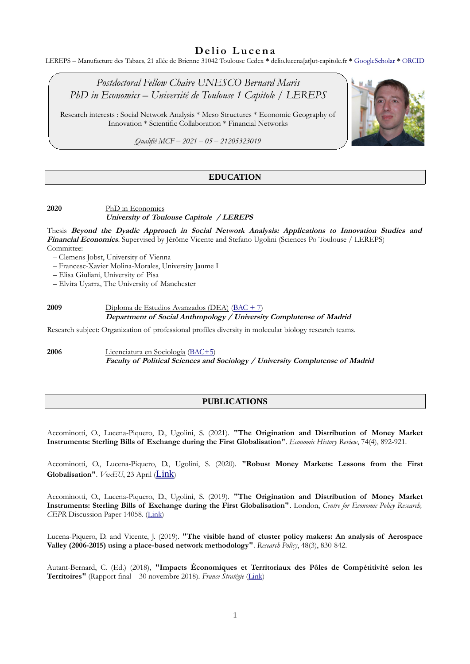LEREPS – Manufacture des Tabacs, 21 allée de Brienne 31042 Toulouse Cedex **\*** delio.lucena[at]ut-capitole.fr **\*** [GoogleScholar](https://scholar.google.com/citations?user=h1o5sWsAAAAJ&hl=en) **\*** [ORCID](https://orcid.org/0000-0002-6405-4791)

*Postdoctoral Fellow Chaire UNESCO Bernard Maris PhD in Economics – Université de Toulouse 1 Capitole / LEREPS*

Research interests : Social Network Analysis \* Meso Structures \* Economic Geography of Innovation \* Scientific Collaboration \* Financial Networks

*Qualifié MCF – 2021 – 05 – 21205323019*

# **EDUCATION**

#### **2020** PhD in Economics **University of Toulouse Capitole / LEREPS**

Thesis Beyond the Dyadic Approach in Social Network Analysis: Applications to Innovation Studies and **Financial Economics**. Supervised by Jérôme Vicente and Stefano Ugolini (Sciences Po Toulouse / LEREPS) Committee:

– Clemens Jobst, University of Vienna

– Francesc-Xavier Molina-Morales, University Jaume I

– Elisa Giuliani, University of Pisa

– Elvira Uyarra, The University of Manchester

#### **2009** Diploma de Estudios Avanzados (DEA) [\(BAC + 7](https://en.wikipedia.org/wiki/Master_of_Advanced_Studies#Spain)) **Department of Social Anthropology / University Complutense of Madrid**

Research subject: Organization of professional profiles diversity in molecular biology research teams.

**2006** Licenciatura en Sociología [\(BAC+5](https://en.wikipedia.org/wiki/Licentiate_(degree)#Spain))

**Faculty of Political Sciences and Sociology / University Complutense of Madrid**

## **PUBLICATIONS**

Accominotti, O., Lucena-Piquero, D., Ugolini, S. (2021). **"The Origination and Distribution of Money Market Instruments: Sterling Bills of Exchange during the First Globalisation"**. *Economic History Review*, 74(4), 892-921.

Accominotti, O., Lucena-Piquero, D., Ugolini, S. (2020). **"Robust Money Markets: Lessons from the First Globalisation"**. *VoxEU*, 23 April ([Link](https://voxeu.org/article/robust-money-markets))

Accominotti, O., Lucena-Piquero, D., Ugolini, S. (2019). **"The Origination and Distribution of Money Market Instruments: Sterling Bills of Exchange during the First Globalisation"**. London, *Centre for Economic Policy Research, CEPR* Discussion Paper 14058. [\(Link](https://cepr.org/active/publications/discussion_papers/dp.php?dpno=14058))

Lucena-Piquero, D. and Vicente, J. (2019). **"The visible hand of cluster policy makers: An analysis of Aerospace Valley (2006-2015) using a place-based network methodology"**. *Research Policy*, 48(3), 830-842.

Autant-Bernard, C. (Ed.) (2018), **"Impacts Économiques et Territoriaux des Pôles de Compétitivité selon les Territoires"** (Rapport final – 30 novembre 2018). *France Stratégie* [\(Link](https://www.strategie.gouv.fr/sites/strategie.gouv.fr/files/atoms/files/eurolio_technopolis_rapport_poles_de_competitivite.pdf))

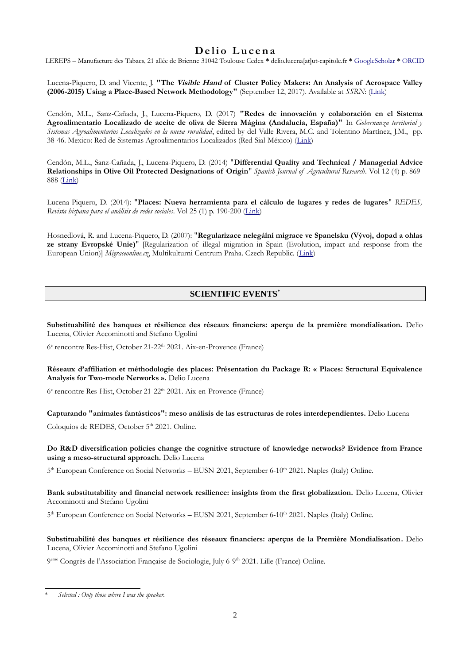LEREPS – Manufacture des Tabacs, 21 allée de Brienne 31042 Toulouse Cedex **\*** delio.lucena[at]ut-capitole.fr **\*** [GoogleScholar](https://scholar.google.com/citations?user=h1o5sWsAAAAJ&hl=en) **\*** [ORCID](https://orcid.org/0000-0002-6405-4791)

Lucena-Piquero, D. and Vicente, J. **"The Visible Hand of Cluster Policy Makers: An Analysis of Aerospace Valley (2006-2015) Using a Place-Based Network Methodology"** (September 12, 2017). Available at *SSRN*: [\(Link](http://dx.doi.org/10.2139/ssrn.3035996))

Cendón, M.L., Sanz-Cañada, J., Lucena-Piquero, D. (2017) **"Redes de innovación y colaboración en el Sistema Agroalimentario Localizado de aceite de oliva de Sierra Mágina (Andalucía, España)"** In *Gobernanza territorial y Sistemas Agroalimentarios Localizados en la nueva ruralidad*, edited by del Valle Rivera, M.C. and Tolentino Martínez, J.M., pp. 38-46. Mexico: Red de Sistemas Agroalimentarios Localizados (Red Sial-México) [\(Link](http://www.fao.org/family-farming/detail/es/c/1029880/))

Cendón, M.L., Sanz-Cañada, J., Lucena-Piquero, D. (2014) "**Differential Quality and Technical / Managerial Advice Relationships in Olive Oil Protected Designations of Origin**" *Spanish Journal of Agricultural Research*. Vol 12 (4) p. 869- 888 [\(Link\)](http://revistas.inia.es/index.php/sjar/article/view/6026/0)

Lucena-Piquero, D. (2014): "**Places: Nueva herramienta para el cálculo de lugares y redes de lugares**" *REDES, Revista hispana para el análisis de redes sociales*. Vol 25 (1) p. 190-200 ([Link\)](http://www.raco.cat/index.php/Redes/article/view/v25-n1-lucena)

Hosnedlová, R. and Lucena-Piquero, D. (2007): "**Regularizace nelegální migrace ve Spanelsku (Vývoj, dopad a ohlas ze strany Evropské Unie)**" [Regularization of illegal migration in Spain (Evolution, impact and response from the European Union)] *Migraceonline.cz*, Multikulturni Centrum Praha. Czech Republic. ([Link\)](http://www.migraceonline.cz/cz/e-knihovna/regularizace-nelegalni-migrace-ve-spanelsku-vyvoj-dopad-a-ohlas-ze-strany-evropske-unie)

## <span id="page-1-0"></span>**SCIENTIFIC EVENTS[\\*](#page-1-1)**

**Substituabilité des banques et résilience des réseaux financiers: aperçu de la première mondialisation.** Delio Lucena, Olivier Accominotti and Stefano Ugolini

6<sup>e</sup> rencontre Res-Hist, October 21-22<sup>th</sup> 2021. Aix-en-Provence (France)

**Réseaux d'affiliation et méthodologie des places: Présentation du Package R: « Places: Structural Equivalence Analysis for Two-mode Networks ».** Delio Lucena

6<sup>e</sup> rencontre Res-Hist, October 21-22<sup>th</sup> 2021. Aix-en-Provence (France)

**Capturando "animales fantásticos": meso análisis de las estructuras de roles interdependientes.** Delio Lucena

Coloquios de REDES, October 5<sup>th</sup> 2021. Online.

**Do R&D diversification policies change the cognitive structure of knowledge networks? Evidence from France using a meso-structural approach.** Delio Lucena

5<sup>th</sup> European Conference on Social Networks – EUSN 2021, September 6-10<sup>th</sup> 2021. Naples (Italy) Online.

**Bank substitutability and financial network resilience: insights from the first globalization.** Delio Lucena, Olivier Accominotti and Stefano Ugolini

5<sup>th</sup> European Conference on Social Networks - EUSN 2021, September 6-10<sup>th</sup> 2021. Naples (Italy) Online.

**Substituabilité des banques et résilience des réseaux financiers: aperçus de la Première Mondialisation.** Delio Lucena, Olivier Accominotti and Stefano Ugolini

9<sup>emè</sup> Congrès de l'Association Française de Sociologie, July 6-9<sup>th</sup> 2021. Lille (France) Online.

<span id="page-1-1"></span>Selected : Only those where I was the speaker.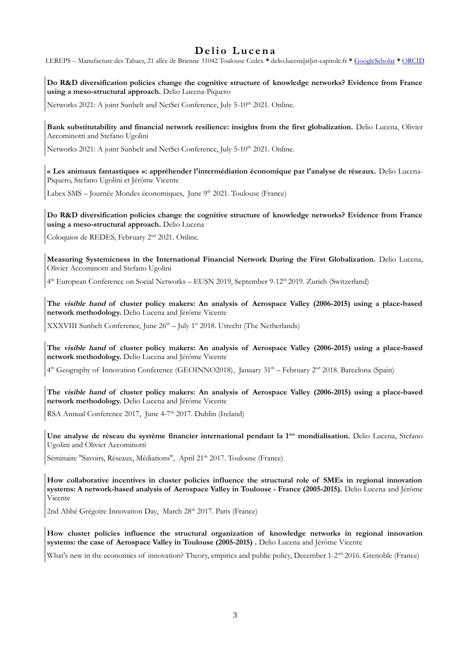LEREPS – Manufacture des Tabacs, 21 allée de Brienne 31042 Toulouse Cedex **\*** delio.lucena[at]ut-capitole.fr **\*** [GoogleScholar](https://scholar.google.com/citations?user=h1o5sWsAAAAJ&hl=en) **\*** [ORCID](https://orcid.org/0000-0002-6405-4791)

**Do R&D diversification policies change the cognitive structure of knowledge networks? Evidence from France using a meso-structural approach.** Delio Lucena-Piquero

Networks 2021: A joint Sunbelt and NetSci Conference, July 5-10<sup>th</sup> 2021. Online.

**Bank substitutability and financial network resilience: insights from the first globalization.** Delio Lucena, Olivier Accominotti and Stefano Ugolini

Networks 2021: A joint Sunbelt and NetSci Conference, July 5-10<sup>th</sup> 2021. Online.

**« Les animaux fantastiques »: appréhender l'intermédiation économique par l'analyse de réseaux.** Delio Lucena-Piquero, Stefano Ugolini et Jérôme Vicente

Labex SMS – Journée Mondes économiques, June 9<sup>th</sup> 2021. Toulouse (France)

### **Do R&D diversification policies change the cognitive structure of knowledge networks? Evidence from France using a meso-structural approach.** Delio Lucena

Coloquios de REDES, February 2nd 2021. Online.

**Measuring Systemicness in the International Financial Network During the First Globalization.** Delio Lucena, Olivier Accominotti and Stefano Ugolini

4<sup>th</sup> European Conference on Social Networks – EUSN 2019, September 9-12<sup>th</sup> 2019. Zurich (Switzerland)

**The visible hand of cluster policy makers: An analysis of Aerospace Valley (2006-2015) using a place-based network methodology.** Delio Lucena and Jérôme Vicente

XXXVIII Sunbelt Conference, June  $26<sup>th</sup> -$  July 1<sup>st</sup> 2018. Utrecht (The Netherlands)

**The visible hand of cluster policy makers: An analysis of Aerospace Valley (2006-2015) using a place-based network methodology.** Delio Lucena and Jérôme Vicente

4 th Geography of Innovation Conference (GEOINNO2018), January 31th – February 2nd 2018. Barcelona (Spain)

**The visible hand of cluster policy makers: An analysis of Aerospace Valley (2006-2015) using a place-based network methodology.** Delio Lucena and Jérôme Vicente

RSA Annual Conference 2017, June 4-7<sup>th</sup> 2017. Dublin (Ireland)

**Une analyse de réseau du système financier international pendant la 1ère mondialisation.** Delio Lucena, Stefano Ugolini and Olivier Accominotti

Séminaire "Savoirs, Réseaux, Médiations", April 21<sup>th</sup> 2017. Toulouse (France)

**How collaborative incentives in cluster policies influence the structural role of SMEs in regional innovation systems: A network-based analysis of Aerospace Valley in Toulouse - France (2005-2015).** Delio Lucena and Jérôme Vicente

2nd Abbé Grégoire Innovation Day, March 28<sup>th</sup> 2017. Paris (France)

**How cluster policies influence the structural organization of knowledge networks in regional innovation systems: the case of Aerospace Valley in Toulouse (2005-2015) .** Delio Lucena and Jérôme Vicente

What's new in the economics of innovation? Theory, empirics and public policy, December 1-2<sup>nd</sup> 2016. Grenoble (France)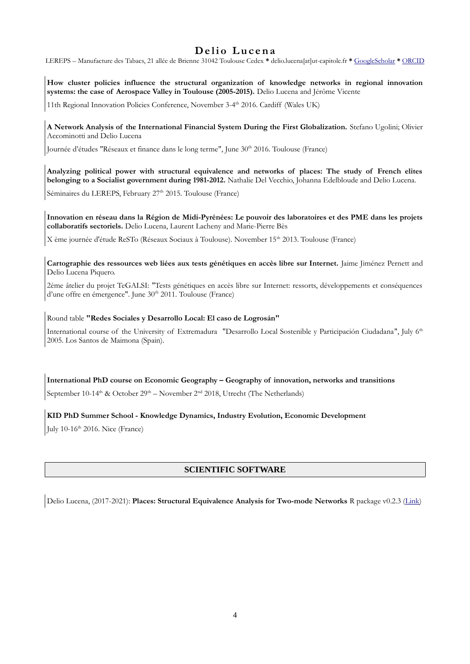LEREPS – Manufacture des Tabacs, 21 allée de Brienne 31042 Toulouse Cedex **\*** delio.lucena[at]ut-capitole.fr **\*** [GoogleScholar](https://scholar.google.com/citations?user=h1o5sWsAAAAJ&hl=en) **\*** [ORCID](https://orcid.org/0000-0002-6405-4791)

**How cluster policies influence the structural organization of knowledge networks in regional innovation systems: the case of Aerospace Valley in Toulouse (2005-2015).** Delio Lucena and Jérôme Vicente

11th Regional Innovation Policies Conference, November 3-4th 2016. Cardiff (Wales UK)

**A Network Analysis of the International Financial System During the First Globalization.** Stefano Ugolini; Olivier Accominotti and Delio Lucena

Journée d'études "Réseaux et finance dans le long terme", June 30<sup>th</sup> 2016. Toulouse (France)

**Analyzing political power with structural equivalence and networks of places: The study of French elites belonging to a Socialist government during 1981-2012.** Nathalie Del Vecchio, Johanna Edelbloude and Delio Lucena.

Séminaires du LEREPS, February 27<sup>th</sup> 2015. Toulouse (France)

**Innovation en réseau dans la Région de Midi-Pyrénées: Le pouvoir des laboratoires et des PME dans les projets collaboratifs sectoriels.** Delio Lucena, Laurent Lacheny and Marie-Pierre Bès

X ème journée d'étude ReSTo (Réseaux Sociaux à Toulouse). November 15<sup>th</sup> 2013. Toulouse (France)

**Cartographie des ressources web liées aux tests génétiques en accès libre sur Internet.** Jaime Jiménez Pernett and Delio Lucena Piquero.

2ème âtelier du projet TeGALSI: "Tests génétiques en accès libre sur Internet: ressorts, développements et conséquences d'une offre en émergence". June 30<sup>th</sup> 2011. Toulouse (France)

#### Round table **"Redes Sociales y Desarrollo Local: El caso de Logrosán"**

International course of the University of Extremadura "Desarrollo Local Sostenible y Participación Ciudadana", July 6<sup>th</sup> 2005. Los Santos de Maimona (Spain).

**International PhD course on Economic Geography – Geography of innovation, networks and transitions**

September 10-14<sup>th</sup> & October 29<sup>th</sup> – November 2<sup>nd</sup> 2018, Utrecht (The Netherlands)

### **KID PhD Summer School - Knowledge Dynamics, Industry Evolution, Economic Development**

July 10-16<sup>th</sup> 2016. Nice (France)

## **SCIENTIFIC SOFTWARE**

Delio Lucena, (2017-2021): **Places: Structural Equivalence Analysis for Two-mode Networks** R package v0.2.3 [\(Link](http://lereps.sciencespo-toulouse.fr/new-r-package-places-developpe-par-delio-lucena))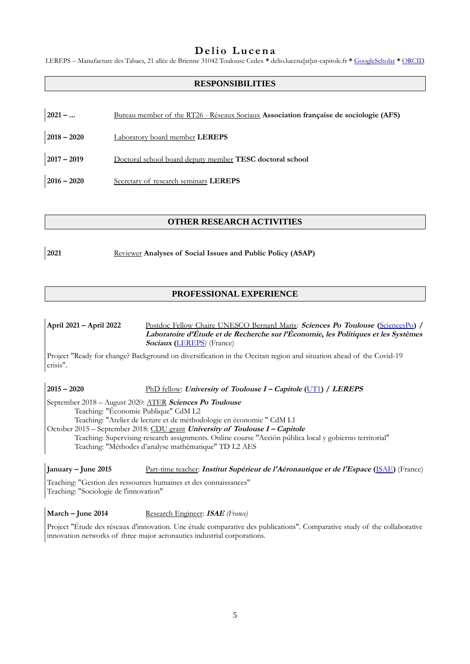LEREPS – Manufacture des Tabacs, 21 allée de Brienne 31042 Toulouse Cedex **\*** delio.lucena[at]ut-capitole.fr **\*** [GoogleScholar](https://scholar.google.com/citations?user=h1o5sWsAAAAJ&hl=en) **\*** [ORCID](https://orcid.org/0000-0002-6405-4791)

### **RESPONSIBILITIES**

- **2021 ...** Bureau member of the RT26 Réseaux Sociaux **Association française de sociologie (AFS)**
- **2018 2020** Laboratory board member **LEREPS**
- **2017 2019** Doctoral school board deputy member **TESC doctoral school**
- **2016 2020** Secretary of research seminars **LEREPS**

#### **OTHER RESEARCH ACTIVITIES**

**2021** Reviewer **Analyses of Social Issues and Public Policy (ASAP)** 

### **PROFESSIONAL EXPERIENCE**

**April 2021 – April 2022** Postdoc Fellow Chaire UNESCO Bernard Maris: **Sciences Po Toulouse (**[SciencesPo](http://www.sciencespo-toulouse.fr/)**) / Laboratoire d'Étude et de Recherche sur l'Économie, les Politiques et les Systèmes Sociaux (**[LEREPS](http://lereps.sciencespo-toulouse.fr/)) (France)

Project "Ready for change? Background on diversification in the Occitan region and situation ahead of the Covid-19 crisis".

**2015 – 2020** PhD fellow: **University of Toulouse I – Capitole (**[UT1](http://www.ut-capitole.fr/)**) / LEREPS**

September 2018 – August 2020: ATER **Sciences Po Toulouse**

Teaching: "Économie Publique" CdM L2

Teaching: "Atelier de lecture et de méthodologie en économie " CdM L1

October 2015 – September 2018: CDU grant **University of Toulouse I – Capitole**

Teaching: Supervising research assignments. Online course "Acción pública local y gobierno territorial"

Teaching: "Méthodes d'analyse mathématique" TD L2 AES

**January – June 2015** Part-time teacher: **Institut Supérieur de l'Aéronautique et de l'Espace (**[ISAE](http://www.isae.fr/)**)** (France)

Teaching: "Gestion des ressources humaines et des connaissances" Teaching: "Sociologie de l'innovation"

**March – June 2014** Research Engineer: **ISAE** *(France)*

Project "Étude des réseaux d'innovation. Une étude comparative des publications". Comparative study of the collaborative innovation networks of three major aeronautics industrial corporations.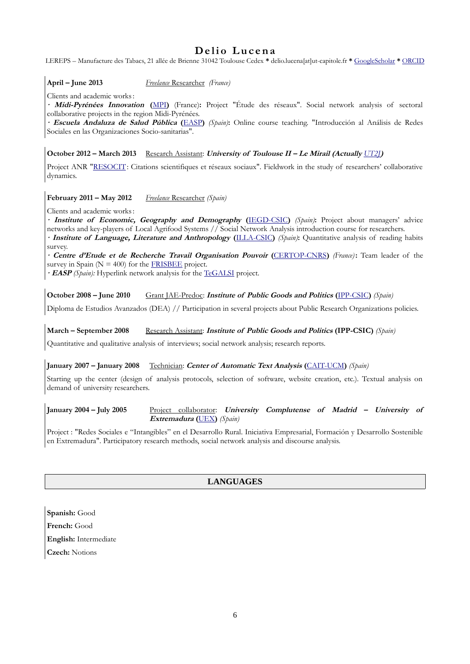LEREPS – Manufacture des Tabacs, 21 allée de Brienne 31042 Toulouse Cedex **\*** delio.lucena[at]ut-capitole.fr **\*** [GoogleScholar](https://scholar.google.com/citations?user=h1o5sWsAAAAJ&hl=en) **\*** [ORCID](https://orcid.org/0000-0002-6405-4791)

**April – June 2013** *Freelance* Researcher *(France)*

Clients and academic works:

**· Midi-Pyrénées Innovation (**[MPI](https://www.mp-i.fr/)**)** (France)**:** Project "Étude des réseaux". Social network analysis of sectoral collaborative projects in the region Midi-Pyrénées.

**· Escuela Andaluza de Salud Pública (**[EASP](http://www.easp.es/)**)** *(Spain)***:** Online course teaching. "Introducción al Análisis de Redes Sociales en las Organizaciones Socio-sanitarias".

## **October 2012 – March 2013** Research Assistant: **University of Toulouse II – Le Mirail (Actually** *[UT2J](http://www.univ-tlse2.fr/)***)**

Project ANR ["RESOCIT](http://w3.lisst.univ-tlse2.fr/programmes/resocit.html): Citations scientifiques et réseaux sociaux". Fieldwork in the study of researchers' collaborative dynamics.

**February 2011 – May 2012** *Freelance* Researcher *(Spain)*

Clients and academic works:

**· Institute of Economic, Geography and Demography (**[IEGD-CSIC](http://www.iegd.csic.es/)**)** *(Spain)***:** Project about managers' advice networks and key-players of Local Agrifood Systems // Social Network Analysis introduction course for researchers. **· Institute of Language, Literature and Anthropology (**[ILLA-CSIC](http://www.illa.csic.es/)**)** *(Spain)***:** Quantitative analysis of reading habits

survey. **· Centre d'Etude et de Recherche Travail Organisation Pouvoir (**[CERTOP-CNRS](http://www.certop.cnrs.fr/)**)** *(France)***:** Team leader of the survey in Spain  $(N = 400)$  for the [FRISBEE](http://www.frisbee-project.eu/) project.

**· EASP** *(Spain):* Hyperlink network analysis for the [TeGALSI](http://tegalsi.hypotheses.org/) project.

**October 2008 – June 2010** Grant JAE-Predoc: **Institute of Public Goods and Politics (**[IPP-CSIC](http://www.ipp.csic.es/)**)** *(Spain)*

Diploma de Estudios Avanzados (DEA) // Participation in several projects about Public Research Organizations policies.

**March – September 2008** Research Assistant: **Institute of Public Goods and Politics (IPP-CSIC)** *(Spain)*

Quantitative and qualitative analysis of interviews; social network analysis; research reports.

**January 2007 – January 2008** Technician: **Center of Automatic Text Analysis (**[CAIT-UCM](http://pendientedemigracion.ucm.es/info/cait/)**)** *(Spain)*

Starting up the center (design of analysis protocols, selection of software, website creation, etc.). Textual analysis on demand of university researchers.

## **January 2004 – July 2005** Project collaborator: **University Complutense of Madrid – University of Extremadura (**[UEX](http://www.unex.es/)**)** *(Spain)*

Project : "Redes Sociales e "Intangibles" en el Desarrollo Rural. Iniciativa Empresarial, Formación y Desarrollo Sostenible en Extremadura". Participatory research methods, social network analysis and discourse analysis.

# **LANGUAGES**

**Spanish:** Good **French:** Good **English:** Intermediate **Czech:** Notions